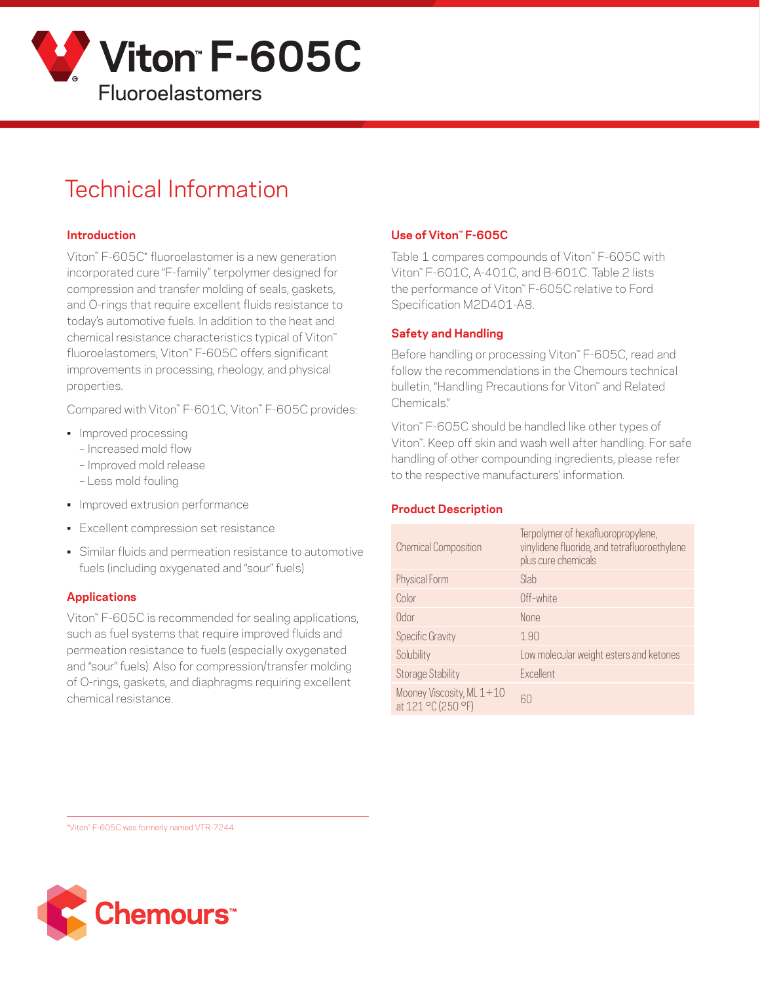

# Technical Information

#### **Introduction**

Viton™ F-605C\* fluoroelastomer is a new generation incorporated cure "F-family" terpolymer designed for compression and transfer molding of seals, gaskets, and O-rings that require excellent fluids resistance to today's automotive fuels. In addition to the heat and chemical resistance characteristics typical of Viton™ fluoroelastomers, Viton™ F-605C offers significant improvements in processing, rheology, and physical properties.

Compared with Viton™ F-601C, Viton™ F-605C provides:

- Improved processing
	- Increased mold flow
	- Improved mold release
	- Less mold fouling
- Improved extrusion performance
- Excellent compression set resistance
- Similar fluids and permeation resistance to automotive fuels (including oxygenated and "sour" fuels)

#### **Applications**

Viton™ F-605C is recommended for sealing applications, such as fuel systems that require improved fluids and permeation resistance to fuels (especially oxygenated and "sour" fuels). Also for compression/transfer molding of O-rings, gaskets, and diaphragms requiring excellent chemical resistance.

### **Use of Viton™ F-605C**

Table 1 compares compounds of Viton™ F-605C with Viton™ F-601C, A-401C, and B-601C. Table 2 lists the performance of Viton™ F-605C relative to Ford Specification M2D401-A8.

#### **Safety and Handling**

Before handling or processing Viton™ F-605C, read and follow the recommendations in the Chemours technical bulletin, "Handling Precautions for Viton" and Related Chemicals."

Viton™ F-605C should be handled like other types of Viton™. Keep off skin and wash well after handling. For safe handling of other compounding ingredients, please refer to the respective manufacturers' information.

#### **Product Description**

| <b>Chemical Composition</b>                     | Terpolymer of hexafluoropropylene,<br>vinylidene fluoride, and tetrafluoroethylene<br>plus cure chemicals |
|-------------------------------------------------|-----------------------------------------------------------------------------------------------------------|
| Physical Form                                   | Slab                                                                                                      |
| Color                                           | Off-white                                                                                                 |
| 0dor                                            | <b>None</b>                                                                                               |
| <b>Specific Gravity</b>                         | 1.90                                                                                                      |
| Solubility                                      | Low molecular weight esters and ketones                                                                   |
| <b>Storage Stability</b>                        | Excellent                                                                                                 |
| Mooney Viscosity, ML 1+10<br>at 121 °C (250 °F) | 60                                                                                                        |

\*Viton™ F-605C was formerly named VTR-7244.

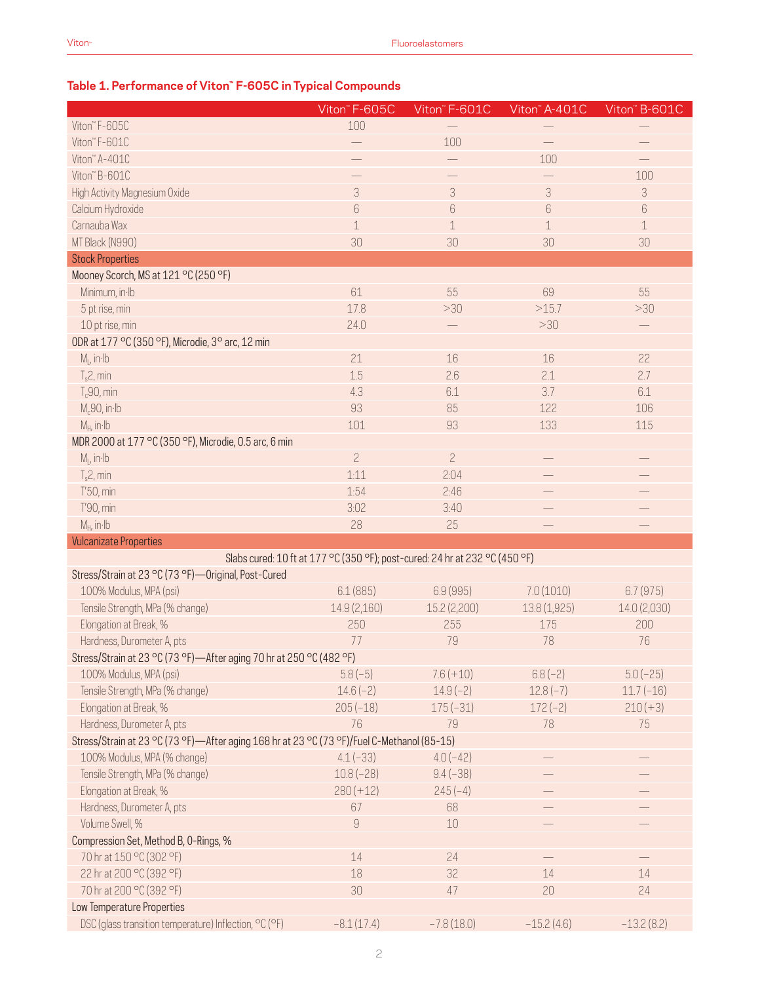## **Table 1. Performance of Viton™ F-605C in Typical Compounds**

|                                                                                            | Viton" F-605C    | Viton" F-601C                                                               | Viton" A-401C | Viton" B-601C |  |
|--------------------------------------------------------------------------------------------|------------------|-----------------------------------------------------------------------------|---------------|---------------|--|
| Viton" F-605C                                                                              | 100              |                                                                             |               |               |  |
| Viton" F-601C                                                                              |                  | 100                                                                         |               |               |  |
| Viton" A-401C                                                                              |                  |                                                                             | 100           |               |  |
| Viton" B-601C                                                                              |                  |                                                                             |               | 100           |  |
| High Activity Magnesium Oxide                                                              | $\sqrt{3}$       | 3                                                                           | 3             | 3             |  |
| Calcium Hydroxide                                                                          | $\boldsymbol{6}$ | $\boldsymbol{6}$                                                            | 6             | $6\,$         |  |
| Carnauba Wax                                                                               | $\mathbf 1$      | $1\,$                                                                       | $\mathbf 1$   | $\mathbf 1$   |  |
| MT Black (N990)                                                                            | 30               | 30                                                                          | 30            | 30            |  |
| <b>Stock Properties</b>                                                                    |                  |                                                                             |               |               |  |
| Mooney Scorch, MS at 121 °C (250 °F)                                                       |                  |                                                                             |               |               |  |
| Minimum, in Ib                                                                             | 61               | 55                                                                          | 69            | 55            |  |
| 5 pt rise, min                                                                             | 17.8             | >30                                                                         | >15.7         | >30           |  |
| 10 pt rise, min                                                                            | 24.0             |                                                                             | >30           |               |  |
| ODR at 177 °C (350 °F), Microdie, 3° arc, 12 min                                           |                  |                                                                             |               |               |  |
| $M_L$ , in $Ib$                                                                            | 21               | 16                                                                          | 16            | 22            |  |
| $T_s$ 2, min                                                                               | 1.5              | 2.6                                                                         | 2.1           | 2.7           |  |
| $T_c90$ , min                                                                              | 4.3              | 6.1                                                                         | 3.7           | 6.1           |  |
|                                                                                            | 93               | 85                                                                          | 122           | 106           |  |
| $M_c90$ , in Ib                                                                            |                  |                                                                             |               |               |  |
| $M_H$ , in Ib                                                                              | 101              | 93                                                                          | 133           | 115           |  |
| MDR 2000 at 177 °C (350 °F), Microdie, 0.5 arc, 6 min                                      |                  |                                                                             |               |               |  |
| $M1$ , in Ib                                                                               | $\overline{c}$   | $\overline{c}$                                                              |               |               |  |
| $T_s2$ , min                                                                               | 1:11             | 2:04                                                                        |               |               |  |
| T'50, min                                                                                  | 1:54             | 2:46                                                                        |               |               |  |
| T'90, min                                                                                  | 3:02             | 3:40                                                                        |               |               |  |
| $M_H$ , in $Ib$                                                                            | 28               | 25                                                                          |               |               |  |
| <b>Vulcanizate Properties</b>                                                              |                  |                                                                             |               |               |  |
|                                                                                            |                  | Slabs cured: 10 ft at 177 °C (350 °F); post-cured: 24 hr at 232 °C (450 °F) |               |               |  |
| Stress/Strain at 23 °C (73 °F)-Original, Post-Cured                                        |                  |                                                                             |               |               |  |
| 100% Modulus, MPA (psi)                                                                    | 6.1(885)         | 6.9(995)                                                                    | 7.0(1010)     | 6.7(975)      |  |
| Tensile Strength, MPa (% change)                                                           | 14.9 (2,160)     | 15.2 (2,200)                                                                | 13.8 (1,925)  | 14.0 (2,030)  |  |
| Elongation at Break, %                                                                     | 250              | 255                                                                         | 175           | 200           |  |
| Hardness, Durometer A, pts                                                                 | 77               | 79                                                                          | 78            | 76            |  |
| Stress/Strain at 23 °C (73 °F)-After aging 70 hr at 250 °C (482 °F)                        |                  |                                                                             |               |               |  |
| 100% Modulus, MPA (psi)                                                                    | $5.8(-5)$        | $7.6 (+10)$                                                                 | $6.8(-2)$     | $5.0(-25)$    |  |
| Tensile Strength, MPa (% change)                                                           | $14.6(-2)$       | $14.9(-2)$                                                                  | $12.8(-7)$    | $11.7(-16)$   |  |
| Elongation at Break, %                                                                     | $205(-18)$       | $175(-31)$                                                                  | $172(-2)$     | $210 (+3)$    |  |
| Hardness, Durometer A, pts                                                                 | 76               | 79                                                                          | 78            | 75            |  |
| Stress/Strain at 23 °C (73 °F)—After aging 168 hr at 23 °C (73 °F)/Fuel C-Methanol (85-15) |                  |                                                                             |               |               |  |
| 100% Modulus, MPA (% change)                                                               | $4.1(-33)$       | $4.0(-42)$                                                                  |               |               |  |
| Tensile Strength, MPa (% change)                                                           | $10.8(-28)$      | $9.4(-38)$                                                                  |               |               |  |
| Elongation at Break, %                                                                     | $280 (+12)$      | $245(-4)$                                                                   |               |               |  |
| Hardness, Durometer A, pts                                                                 | 67               | 68                                                                          |               |               |  |
| Volume Swell, %                                                                            | $\hbox{9}$       | 10                                                                          |               |               |  |
| Compression Set, Method B, O-Rings, %                                                      |                  |                                                                             |               |               |  |
| 70 hr at 150 °C (302 °F)                                                                   | $14\,$           | 24                                                                          |               |               |  |
| 22 hr at 200 °C (392 °F)                                                                   | 18               | 32                                                                          | 14            | 14            |  |
| 70 hr at 200 °C (392 °F)                                                                   | 30               | 47                                                                          | 20            | 24            |  |
| Low Temperature Properties                                                                 |                  |                                                                             |               |               |  |
| DSC (glass transition temperature) Inflection, °C (°F)                                     | $-8.1(17.4)$     | $-7.8(18.0)$                                                                | $-15.2(4.6)$  | $-13.2(8.2)$  |  |
|                                                                                            |                  |                                                                             |               |               |  |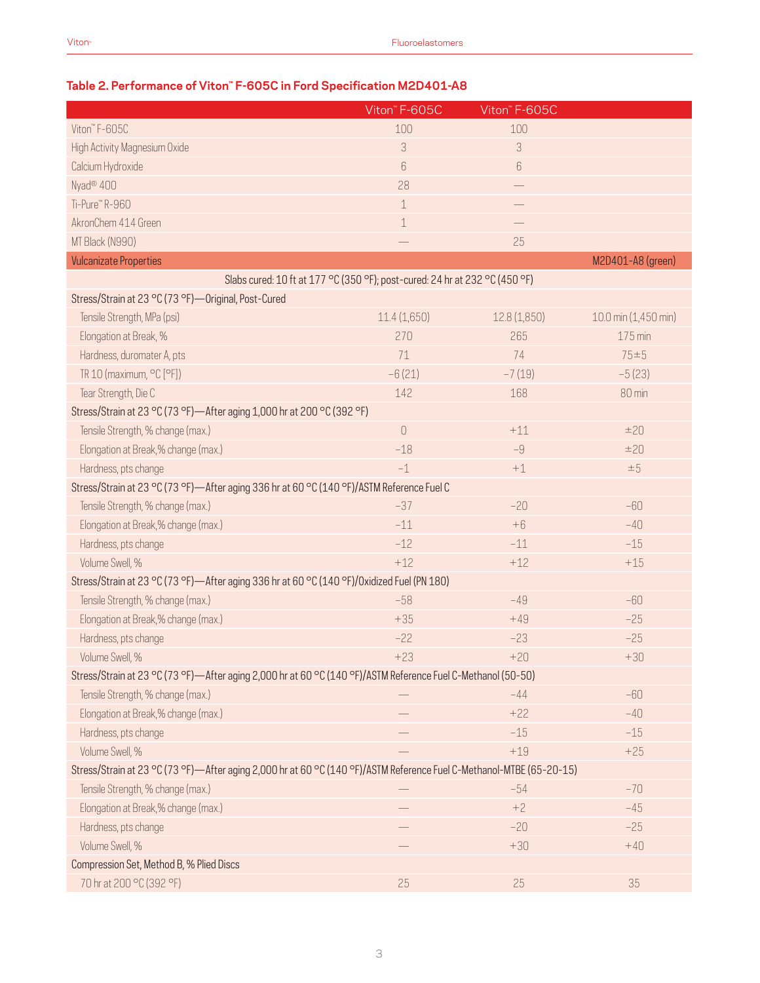## **Table 2. Performance of Viton™ F-605C in Ford Specification M2D401-A8**

|                                                                                                                      | Viton <sup>"</sup> F-605C | Viton" F-605C |                      |  |  |  |
|----------------------------------------------------------------------------------------------------------------------|---------------------------|---------------|----------------------|--|--|--|
| Viton" F-605C                                                                                                        | 100                       | 100           |                      |  |  |  |
| High Activity Magnesium Oxide                                                                                        | 3                         | 3             |                      |  |  |  |
| Calcium Hydroxide                                                                                                    | 6                         | 6             |                      |  |  |  |
| Nyad <sup>®</sup> 400                                                                                                | 28                        |               |                      |  |  |  |
| Ti-Pure" R-960                                                                                                       | $\mathbf 1$               |               |                      |  |  |  |
| AkronChem 414 Green                                                                                                  | $\,1\,$                   |               |                      |  |  |  |
| MT Black (N990)                                                                                                      |                           | 25            |                      |  |  |  |
| <b>Vulcanizate Properties</b>                                                                                        |                           |               | M2D401-A8 (green)    |  |  |  |
| Slabs cured: 10 ft at 177 °C (350 °F); post-cured: 24 hr at 232 °C (450 °F)                                          |                           |               |                      |  |  |  |
| Stress/Strain at 23 °C (73 °F) - Original, Post-Cured                                                                |                           |               |                      |  |  |  |
| Tensile Strength, MPa (psi)                                                                                          | 11.4(1,650)               | 12.8 (1,850)  | 10.0 min (1,450 min) |  |  |  |
| Elongation at Break, %                                                                                               | 270                       | 265           | 175 min              |  |  |  |
| Hardness, duromater A, pts                                                                                           | 71                        | 74            | $75 = 5$             |  |  |  |
| TR 10 (maximum, °C [°F])                                                                                             | $-6(21)$                  | $-7(19)$      | $-5(23)$             |  |  |  |
| Tear Strength, Die C                                                                                                 | 142                       | 168           | 80 min               |  |  |  |
| Stress/Strain at 23 °C (73 °F)-After aging 1,000 hr at 200 °C (392 °F)                                               |                           |               |                      |  |  |  |
| Tensile Strength, % change (max.)                                                                                    | $\cup$                    | $+11$         | ±20                  |  |  |  |
| Elongation at Break,% change (max.)                                                                                  | $-18$                     | $-9$          | ±20                  |  |  |  |
| Hardness, pts change                                                                                                 | $-1$                      | $+1$          | $\pm 5$              |  |  |  |
| Stress/Strain at 23 °C (73 °F)—After aging 336 hr at 60 °C (140 °F)/ASTM Reference Fuel C                            |                           |               |                      |  |  |  |
| Tensile Strength, % change (max.)                                                                                    | $-37$                     | $-20$         | $-60$                |  |  |  |
| Elongation at Break,% change (max.)                                                                                  | $-11$                     | $+6$          | $-40$                |  |  |  |
| Hardness, pts change                                                                                                 | $-12$                     | $-11$         | $-15$                |  |  |  |
| Volume Swell, %                                                                                                      | $+12$                     | $+12$         | $+15$                |  |  |  |
| Stress/Strain at 23 °C (73 °F)-After aging 336 hr at 60 °C (140 °F)/Oxidized Fuel (PN 180)                           |                           |               |                      |  |  |  |
| Tensile Strength, % change (max.)                                                                                    | $-58$                     | $-49$         | $-60$                |  |  |  |
| Elongation at Break,% change (max.)                                                                                  | $+35$                     | $+49$         | $-25$                |  |  |  |
| Hardness, pts change                                                                                                 | $-22$                     | $-23$         | $-25$                |  |  |  |
| Volume Swell, %                                                                                                      | $+23$                     | $+20$         | $+30$                |  |  |  |
| Stress/Strain at 23 °C (73 °F)—After aging 2,000 hr at 60 °C (140 °F)/ASTM Reference Fuel C-Methanol (50-50)         |                           |               |                      |  |  |  |
| Tensile Strength, % change (max.)                                                                                    |                           | $-44$         | $-60$                |  |  |  |
| Elongation at Break,% change (max.)                                                                                  |                           | $+22$         | $-40$                |  |  |  |
| Hardness, pts change                                                                                                 |                           | $-15$         | $-15$                |  |  |  |
| Volume Swell, %                                                                                                      |                           | $+19$         | $+25$                |  |  |  |
| Stress/Strain at 23 °C (73 °F)—After aging 2,000 hr at 60 °C (140 °F)/ASTM Reference Fuel C-Methanol-MTBE (65-20-15) |                           |               |                      |  |  |  |
| Tensile Strength, % change (max.)                                                                                    |                           | $-54$         | $-70$                |  |  |  |
| Elongation at Break,% change (max.)                                                                                  |                           | $+2$          | $-45$                |  |  |  |
| Hardness, pts change                                                                                                 |                           | $-20$         | $-25$                |  |  |  |
| Volume Swell, %                                                                                                      |                           | $+30$         | $+40$                |  |  |  |
| Compression Set, Method B, % Plied Discs                                                                             |                           |               |                      |  |  |  |
| 70 hr at 200 °C (392 °F)                                                                                             | 25                        | 25            | 35                   |  |  |  |